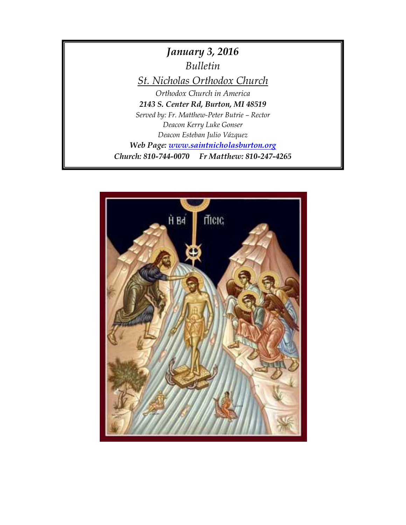

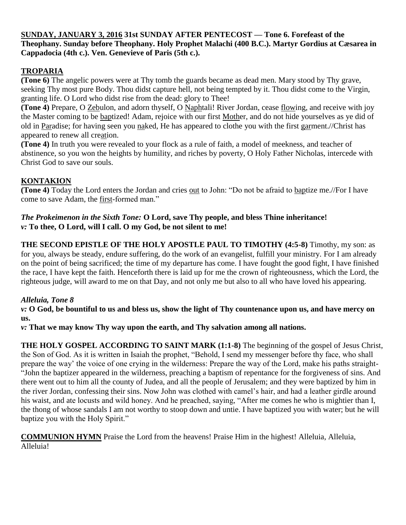#### **SUNDAY, JANUARY 3, 2016 31st SUNDAY AFTER PENTECOST — Tone 6. Forefeast of the Theophany. Sunday before Theophany. Holy Prophet Malachi (400 B.C.). Martyr Gordius at Cæsarea in Cappadocia (4th c.). Ven. Genevieve of Paris (5th c.).**

# **TROPARIA**

**(Tone 6)** The angelic powers were at Thy tomb the guards became as dead men. Mary stood by Thy grave, seeking Thy most pure Body. Thou didst capture hell, not being tempted by it. Thou didst come to the Virgin, granting life. O Lord who didst rise from the dead: glory to Thee!

**(Tone 4)** Prepare, O Zebulon, and adorn thyself, O Naphtali! River Jordan, cease flowing, and receive with joy the Master coming to be baptized! Adam, rejoice with our first Mother, and do not hide yourselves as ye did of old in Paradise; for having seen you naked, He has appeared to clothe you with the first garment.//Christ has appeared to renew all creation.

**(Tone 4)** In truth you were revealed to your flock as a rule of faith, a model of meekness, and teacher of abstinence, so you won the heights by humility, and riches by poverty, O Holy Father Nicholas, intercede with Christ God to save our souls.

# **KONTAKION**

**(Tone 4)** Today the Lord enters the Jordan and cries out to John: "Do not be afraid to baptize me.//For I have come to save Adam, the first-formed man."

#### *The Prokeimenon in the Sixth Tone:* **O Lord, save Thy people, and bless Thine inheritance!** *v:* **To thee, O Lord, will I call. O my God, be not silent to me!**

**THE SECOND EPISTLE OF THE HOLY APOSTLE PAUL TO TIMOTHY (4:5-8)** Timothy, my son: as for you, always be steady, endure suffering, do the work of an evangelist, fulfill your ministry. For I am already on the point of being sacrificed; the time of my departure has come. I have fought the good fight, I have finished the race, I have kept the faith. Henceforth there is laid up for me the crown of righteousness, which the Lord, the righteous judge, will award to me on that Day, and not only me but also to all who have loved his appearing.

### *Alleluia, Tone 8*

*v:* **O God, be bountiful to us and bless us, show the light of Thy countenance upon us, and have mercy on us.**

*v:* **That we may know Thy way upon the earth, and Thy salvation among all nations.**

**THE HOLY GOSPEL ACCORDING TO SAINT MARK (1:1-8)** The beginning of the gospel of Jesus Christ, the Son of God. As it is written in Isaiah the prophet, "Behold, I send my messenger before thy face, who shall prepare the way' the voice of one crying in the wilderness: Prepare the way of the Lord, make his paths straight- "John the baptizer appeared in the wilderness, preaching a baptism of repentance for the forgiveness of sins. And there went out to him all the county of Judea, and all the people of Jerusalem; and they were baptized by him in the river Jordan, confessing their sins. Now John was clothed with camel's hair, and had a leather girdle around his waist, and ate locusts and wild honey. And he preached, saying, "After me comes he who is mightier than I, the thong of whose sandals I am not worthy to stoop down and untie. I have baptized you with water; but he will baptize you with the Holy Spirit."

**COMMUNION HYMN** Praise the Lord from the heavens! Praise Him in the highest! Alleluia, Alleluia, Alleluia!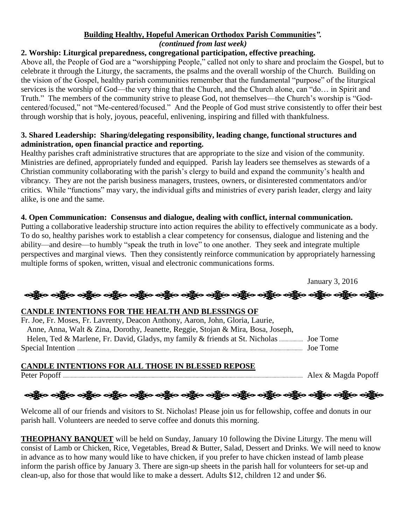#### **Building Healthy, Hopeful American Orthodox Parish [Communities](http://www.ocadwpa.org/files/Parish%20Development/FocusareaV1final.pdf)***". (continued from last week)*

#### **2. Worship: Liturgical preparedness, congregational participation, effective preaching.**

Above all, the People of God are a "worshipping People," called not only to share and proclaim the Gospel, but to celebrate it through the Liturgy, the sacraments, the psalms and the overall worship of the Church. Building on the vision of the Gospel, healthy parish communities remember that the fundamental "purpose" of the liturgical services is the worship of God—the very thing that the Church, and the Church alone, can "do… in Spirit and Truth." The members of the community strive to please God, not themselves—the Church's worship is "Godcentered/focused," not "Me-centered/focused." And the People of God must strive consistently to offer their best through worship that is holy, joyous, peaceful, enlivening, inspiring and filled with thankfulness.

#### **3. Shared Leadership: Sharing/delegating responsibility, leading change, functional structures and administration, open financial practice and reporting.**

Healthy parishes craft administrative structures that are appropriate to the size and vision of the community. Ministries are defined, appropriately funded and equipped. Parish lay leaders see themselves as stewards of a Christian community collaborating with the parish's clergy to build and expand the community's health and vibrancy. They are not the parish business managers, trustees, owners, or disinterested commentators and/or critics. While "functions" may vary, the individual gifts and ministries of every parish leader, clergy and laity alike, is one and the same.

#### **4. Open Communication: Consensus and dialogue, dealing with conflict, internal communication.**

Putting a collaborative leadership structure into action requires the ability to effectively communicate as a body. To do so, healthy parishes work to establish a clear competency for consensus, dialogue and listening and the ability—and desire—to humbly "speak the truth in love" to one another. They seek and integrate multiple perspectives and marginal views. Then they consistently reinforce communication by appropriately harnessing multiple forms of spoken, written, visual and electronic communications forms.



#### **CANDLE INTENTIONS FOR ALL THOSE IN BLESSED REPOSE**

Peter Popoff Alex & Magda Popoff

ခရွိက ခရွိက ခရွိက အိုင်း ပါးသား သို့မှာ ခရွိက ခရွိက ခရွိက ခရွိက ခရွိက ခရွိက ခရွိက ခရွိက ခရွိက ခရွိက

Welcome all of our friends and visitors to St. Nicholas! Please join us for fellowship, coffee and donuts in our parish hall. Volunteers are needed to serve coffee and donuts this morning.

Special Intention Joe Tome

**THEOPHANY BANQUET** will be held on Sunday, January 10 following the Divine Liturgy. The menu will consist of Lamb or Chicken, Rice, Vegetables, Bread & Butter, Salad, Dessert and Drinks. We will need to know in advance as to how many would like to have chicken, if you prefer to have chicken instead of lamb please inform the parish office by January 3. There are sign-up sheets in the parish hall for volunteers for set-up and clean-up, also for those that would like to make a dessert. Adults \$12, children 12 and under \$6.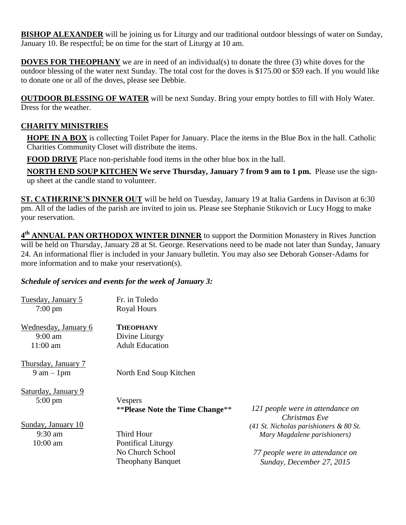**BISHOP ALEXANDER** will be joining us for Liturgy and our traditional outdoor blessings of water on Sunday, January 10. Be respectful; be on time for the start of Liturgy at 10 am.

**DOVES FOR THEOPHANY** we are in need of an individual(s) to donate the three (3) white doves for the outdoor blessing of the water next Sunday. The total cost for the doves is \$175.00 or \$59 each. If you would like to donate one or all of the doves, please see Debbie.

**OUTDOOR BLESSING OF WATER** will be next Sunday. Bring your empty bottles to fill with Holy Water. Dress for the weather.

## **CHARITY MINISTRIES**

**HOPE IN A BOX** is collecting Toilet Paper for January. Place the items in the Blue Box in the hall. Catholic Charities Community Closet will distribute the items.

**FOOD DRIVE** Place non-perishable food items in the other blue box in the hall.

**NORTH END SOUP KITCHEN We serve Thursday, January 7 from 9 am to 1 pm.** Please use the signup sheet at the candle stand to volunteer.

**ST. CATHERINE'S DINNER OUT** will be held on Tuesday, January 19 at Italia Gardens in Davison at 6:30 pm. All of the ladies of the parish are invited to join us. Please see Stephanie Stikovich or Lucy Hogg to make your reservation.

**4 th ANNUAL PAN ORTHODOX WINTER DINNER** to support the Dormition Monastery in Rives Junction will be held on Thursday, January 28 at St. George. Reservations need to be made not later than Sunday, January 24. An informational flier is included in your January bulletin. You may also see Deborah Gonser-Adams for more information and to make your reservation(s).

#### *Schedule of services and events for the week of January 3:*

| Tuesday, January 5            | Fr. in Toledo                          |                                                   |
|-------------------------------|----------------------------------------|---------------------------------------------------|
| $7:00 \text{ pm}$             | <b>Royal Hours</b>                     |                                                   |
| Wednesday, January 6          | <b>THEOPHANY</b>                       |                                                   |
| $9:00 \text{ am}$             | Divine Liturgy                         |                                                   |
| $11:00$ am                    | <b>Adult Education</b>                 |                                                   |
| Thursday, January 7           |                                        |                                                   |
| $9 \text{ am} - 1 \text{ pm}$ | North End Soup Kitchen                 |                                                   |
| Saturday, January 9           |                                        |                                                   |
| $5:00 \text{ pm}$             | Vespers                                |                                                   |
|                               | <b>**Please Note the Time Change**</b> | 121 people were in attendance on<br>Christmas Eve |
| Sunday, January 10            |                                        | $(41$ St. Nicholas parishioners & 80 St.          |
| $9:30$ am                     | Third Hour                             | Mary Magdalene parishioners)                      |
| $10:00$ am                    | <b>Pontifical Liturgy</b>              |                                                   |
|                               | No Church School                       | 77 people were in attendance on                   |
|                               | <b>Theophany Banquet</b>               | Sunday, December 27, 2015                         |